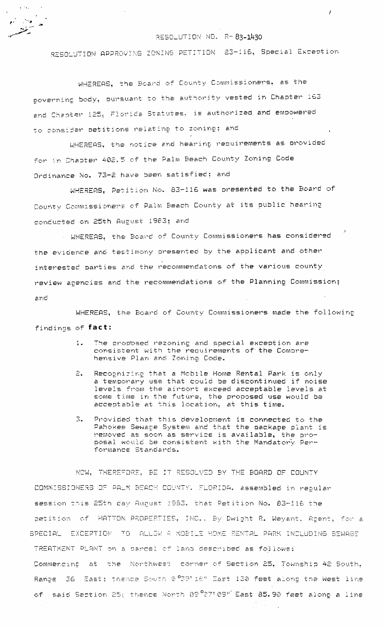RESOLUTION NO. R-83-1430

RESOLUTION APPROVING ZONING PETITION 83-116, Special Exception

WHEREAS, the Board of County Commissioners, as the poverning body, pursuant to the authority vested in Chapter 163 and Chapter 125, Florida Statutes, is authorized and empowered to consider petitions relating to zoning; and

الملائح

ina<br>⊸ina a

WHEREAS, the notice and hearing requirements as provided for in Chapter 402.5 of the Palm Beach County Zoning Code Ordinance No. 73-2 have been satisfied; and

WHEREAS, Petition No. 83-116 was presented to the Board of County Commissioners of Palm Beach County at its public hearing conducted on 25th August 1983; and

. WHEREAS, the Board of County Commissioners has considered the evidence and testimony oresented by the applicant and other interested parties and the recommendatons of the various county review agencies and the recommendations of the Planning Commission;  $erc$ 

WHEREAS, the Board of County Commissioners made the following findings of fact:

- The proposed rezoning and special exception are  $\mathbf{1}$  . consistent with the requirements of the Comprehensive Plan and Zoning Code.
- Recognizing that a Mobile Home Rental Park is only 2. a temporary use that could be discontinued if noise levels from the airport exceed acceptable levels at some time in the future, the proposed use would be acceptable at this location, at this time.
- $\mathbb{E}_{\bullet}$ Provided that this development is connected to the Pahokee Sewage System and that the package plant is removed as soon as service is available, the proposal would be consistent with the Mandatory Performance Standards.

NOW, THEREFORS, BE IT RESOLVED BY THE BOARD OF COUNTY COMMISSIONERS OF PALM BEACH COUNTY. FLORIDA, assembled in regular session this 25th day August 1983, that Petition No. 83-116 the petition of HATTON PROPERTIES, INC., By Dwight R. Weyant, Agent, for a SPECIAL EXCEPTION TO ALLOW A MOBILE HOME RENTAL PARK INCLUDING SEWAGE TREATMENT PLANT on a parcel of land described as follows: Commencing at the Northwest corner of Section 25, Township 42 South, Range 36 East; thence South 0.039118" East 130 feet along the West line of said Section 25, thence North 89 $27^{\circ}$ 09" East 85.90 feet along a line

 $\overline{I}$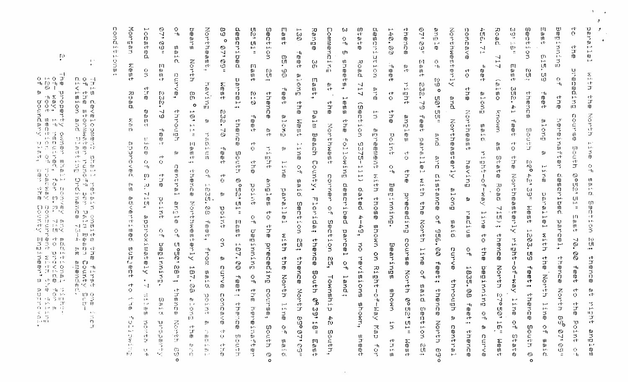$\Gamma^{\rm a}$  $-1$  $0 + 0$ ਾਂ  $\lnot\text{H} \quad \text{F0} \quad \lnot\text{H} \quad \text{H0}$  $\mathcal{F}_{\mathcal{M}}$ ម្ម Ű.  $\forall h \in$ ប្រព័ត៌<br>បំផុំ< ប្ ਰ ਆ Ē. -ID z D. 01 14 ch  $90-17$  $\neg$  ,  $\neg$ ់ក្រ 宋 中当 0 ្រុកគេ ខ្<br>មេសិកី 分づ 口 山  $\mathbf{B}$ 一体 一等  $c \vdash Q$  .  $\mathcal{M}_{\mathcal{C}}$  $\bullet$  C  $-1.19 - 10$ ੀ, 16 的一字件  $\mathbf{G}$ Ŵ.  $\mathbf{E}$ **Contract State** 了一点。  $\mathcal{A}_1 \rightarrow \mathcal{A}$  $\Omega$   $\Omega$ 中医方目  $TT$   $91$  $\sim$  0.0  $\,$  $\frac{1}{9} \times \frac{1}{6} \times$  $0.070$ 真真的权  $(2, 3)$  $\overline{5}$   $\overline{0}$   $\sim$   $\overline{9}$ a gina  $\sim$ 目印中期 かうりね 11.3 元 1  $\mathbf{L}$  $540 - 100 - 140$ かまうげ 用 的 白 15 専門会員 ÷. - 13. GL 排 对 相同  $\mathfrak{A}^{\mathfrak{t}}$ 重新了。  $\mathbb{Z}^n$  . The sets TT. 74 万花 雪 甘玉 **TS (1975)**  $-71^{\circ}$  $\mathcal{K} \mathbf{t}$  , and  $\mathbf{p} \mathbf{p} \rightarrow \mathbf{P}$  $\mathcal{L}^2 = 100$  $\mathcal{L}_{\mathrm{H}}$  $\sim 10$  $\pm$  - 0.00  $^\circ$  $\sim$ 

 $\pm$   $\pm$  $\blacksquare$  $D. O - 4$ 开开工  $\begin{array}{ccc} 1 & 1 & 1 \\ 1 & 1 & 1 \\ 1 & 1 & 1 & 1 \end{array}$  $\mathbb{U}$   $\mathbb{U}$  $H: \mathfrak{Y} \cap \mathfrak{Y}$ . Ũ. ី ក្ប  $3.91$  $\epsilon$ 六年 田  $90^\circ$  O  $\,$  He  $^{\prime\prime}$ ភ្នំ ភ្នំ ភ្នំ<br>សម្លាប់ Σ. Ē 11 O C オモ (生)賞  $20 - 10 - 17$ **d** 3  $\mathbf{r}$  where  $\mathbf{r}$ - 19 លក្ស៊  $\mathfrak{U}\subsetneq\mathfrak{W}$  $10.5...$ हों क **CF4** 女性性 n.  $\mathbb{R}$  $\sim 0.2$ **DENER**<br>DENER<br>DENER ōэ 쁘 일 을 ~J 2 0 取上 () فسو ी गान्स 小 电 重  $\mathbf{L}$  $91.0 \times$  $10 - 1 - 21$  $\mathfrak{n}$ : な 口 Ξ  $0 - h$ 雅 真 16  $\begin{array}{ccc} \mathbb{Z} & \mathbb{Z} & \mathbb{Z} \end{array}$ ਹੁੰ ਹਾਂ ਘ 明天 计 TE.  $U1$  O  $17 - 77$  $\overline{U}$   $\overline{W}$ Ť.  $\mathbf{E}(\mathbf{r},t)$  $\mathcal{F}^{\text{int}}_{\text{int}}$ Ä. ПĒ

 $\Gamma$ 

Ō.

÷,

ō.

 $\mathbb{R}^{2}$  :

 $\mathbf{c}^{\ast}$ 

 $\mathbf{p}(\mathbf{r})$ 

95<br>Vi

 $\epsilon$  s.

졾  $\mathbb{R}^{n+1}$  $\mathbb{S}^1$  $\Omega$  $\mathbf{H}$  $\mathbb{Z}$  $\boldsymbol{\omega}$  $\Omega$ . ហ  $\mathbb{E}$ U)  $\uparrow \rightarrow \uparrow$  $70^{\circ}$  $\Gamma$  $\{ \mathbf{r} \}$  $\mathbf{D}^{\top}$ ₹ m.  $\mathbf{f}$ O ω  $\Pi$ ्र m. ்ப  $L<sub>1</sub>$ comp. Q. ₹. - 7  $\overline{0}$  $\frac{10}{11}$ Ч. m n.  $\overline{\mathfrak{m}}$ Č. 3  $\mathbf{O}$  $\circ$ łП  $\mathbf{u}$ Ñ  $-1$  $\Omega$ rη  $-1$  $\mathbf{d}$  $-<sub>b</sub>$  $111$  $\vec{\omega}$  $\mathbf S$  $^{\rm \alpha}$  $ct$ ព្រ  $\mathbf{u}$  $\mathbb{J}$ 丂  $\frac{1}{2}$ total. m  $\boldsymbol{\Phi}$ 75  $\mathbf n$ TD.  $\mathbb{Z}^+$ ΩJ. Ź,  $\mathbf{L}$  $\Xi$ O. ंद m  $-1.$ Ō.  $\mathbf{L} \cdot \mathbf{J}$  . Ù.  $\mathbf{C}$ B.  $\mathbf{D}$  $\mathbf{m}$ n.  $\Omega$ . Ϊñ.  $\frac{Z}{D}$  $\mathbb{C}$ Ť ťл ID.  $\mathbf{G}$  $\mathbf{H}$  . tu.  $\boldsymbol{\Sigma}$  $\lceil \cdot \rceil$  $\mathbb{C}\mathbb{P}$ ТÓ. ū.  $\mathsf{m}$  $ct$ Ö.  $\mathcal{B}$ IJ.  $\mathbf{T}$  $\frac{0}{2}$  $\omega$ H.  $\sim 2$ **F9** ഗ  $\mathbf{u}$  $\equiv$ Ù. ILT.  $\mathbf{u}$ ū  $\mathbf{L}$  $\overline{ct}$ ū ίñ  $\bar{\mathbb{Z}}$ ற Ŵ.  $-t$  $\epsilon$  ).  $\mathbb{Z}^r$ Ş U 4  $\mathbf{u}$  $\frac{1}{2}$  $\mathsf{m}$ तं Ш.  $\overline{\mathfrak{h}}$  $\frac{10}{3}$  $\mathbf{O}$  $\mathbf{0}$  $\mathbf{H}$ ņт ct ≪ Ŵ,  $-1<sub>1</sub>$  $\tilde{\tilde{5}}$ m  $ct$  $\mathbf{H}$  $\mathfrak{A}% _{T}=\mathfrak{A}_{T}\!\left( a,b\right) ,\ \mathfrak{A}_{T}=C_{T}\!\left( a,b\right) ,$  $\mathbb{C} \mathcal{T}$  $\Gamma$  ).  $\overline{p}$  $\mathbbm{C}$  $\leq$  $\dot{\Omega}$  $\mathbf{D}$  $\mathbf{E}$  $\mathbf{u}$ th<br>C ٣Ť  $\bar{p}$ Ũ.  $\left\{ \cdot \right\}$  $\sim$  10 m  $\mathbf{H}$  $\mathbf{f}$ ា  $\mathbf{1}$ Ť  $\mathbf{r}$ منبو  $\bar{\mathbf{u}}$  $\overline{D}$  $\sim$ ŢU.  $\mathbf n$  $ct$ ID.  $\ddot{\phantom{1}}$ -ct ct.  $\circ$ Ω.  $\bar{\mathbf{F}}$  $\mathbf{T}$  $\Box$ Ŵ.  $-1.1$ 75  $\Omega$  $\epsilon$  $\mathfrak{m}$  $\sim$  $\mathbb{H}^{\perp}$ Л'n n. m  $\mathbf{U}$ IJ) - 60 ឃ 可  $\mathbf{C}$  $\mathbf{p}$ UJ. 41 m n.  $\Sigma$ in. - 10 Ù, n)  $-1$  $\mathbf{m}$ فسأ  $\frac{\Sigma}{10}$ Ēм.  $\mathbf{C}^{\mathbf{I}^{\star}}$ **R**<br>S Ωï. Ó  $\Box$  $\Xi$  $\mathbb{T}^r$ kt.  $\mathbf{p}_\mathrm{m}$  .  $\Pi$ O. ŢП.  $\mathfrak{m}$ Ŧ. ñ.  $-1$  $\subset$  $\pm$  4.  $\sim$  $\tau$ **U** ЧÌ.  $m$ ÷ý тý. Ė. ïО  $\boldsymbol{z}$  $\overline{\phantom{a}}$  $\mathbf{H}^{\mathbf{H}}$  $c<sub>F</sub>$ m  $\{f\}$  . m  $\Box\Gamma$ ģ. Đ m. ٣Ť  $\mathbf{a}$  $\Omega$  .  $1.2.$  $\pm$   $\pm$ D. IÙ.  $\tau$ h we  $\mathbb{C}^{\mathbb{C}}$  $\mathbf{1}$  $\mu$  ,  $\sigma$  $n_{\rm I}$ **U**  $\Gamma$  $-1$  $\mathbf{U}$  $\overline{\mathcal{A}}$  $\mathfrak{g}_1$  $\mathbf{u}$  $\mathbb{H}^{2}$  .  $\sim$  .  $\Gamma$  $\sim$ ں۔<br>ح  $\mathbf{H}$ ្មប ÙΩ.  $\overline{\mathbb{C}}$ fII ហ Ď. Ě  $\mathbf{1}$  and  $\mathbf{L}^{(1)}$  $\tau\tau$ **c**d- $\overline{1}1$ n. 용 肛门 m. Ù.  $\frac{0}{2}$  $\mathbf{C}$  $\mathbf{G}$ O.  $\sim$  $ct$  $\mathbf{C}^{\mathbf{F}}$  $\mathbb{T}$  $\mathbf{F}^{\mathbf{a},\mathbf{t}}$  $\Box$ -ct  $\mathbb{T}^r$ ≺ mh. D.  $\tau^{\pm}$ cf- $\mathbf{F}^{(k)}$  $\mathbb{Q}^{\prime}$  $\mathbf{U}$ pā.  $\overline{\mathfrak{m}}$  $\bar{p}$  $\bullet$ СT. E.  $\mathbb{R}$ m -ct<sup>-</sup>  $\mathbf{h}_\mathrm{I}$  $\frac{6}{2}$  $\mathbf{U}$  $\epsilon\pm$  $\Omega$  $\preceq$  $\Box$ T  $\tau\bar{\tau}$  $\tilde{p}$  $\Omega$ ťб.  $\neg\mathfrak{h}_\Gamma$  $\Box$  $\overline{\mathfrak{m}}$ τt  $\mathbf{C}$  $\bar{\mathbf{\Sigma}}$ Ú<br>J  $\Omega$ Ħ  $\bar{c}$ r  $\mathbf{p}_1$  $\mathbf{D}$  $\preceq$  $\frac{1}{\overline{D}}$  $\mathbb{B}$ 20  $\frac{1}{2}$  ,  $\mathcal{R}_i$  $\Omega$  $\mathbf{T}$ ņ. برء  $\Omega$ in. nз. ō з,  $\mathbf{0}$ юī  $\mathbf{T}$ Πł LΠ.  $\mathbf{P}$  .  $\mathbf{\hat{u}}$  $\sim$ استر  $\mathbf{\hat{p}}$  $\Omega_{\rm c}$ f.J ТÚ  $\mathbf{1}$  $\bar{\mathbf{p}}$ एंगे  $\mathbf{p}$ 웃  $\mathbf{p}_t$  $\mathbf{1} \mathbf{1} \mathbf{1}$  $\frac{1}{\sqrt{2}}$  $\overline{\mathfrak{m}}$  . ÷, ÷.  $\mathbf{f}_1$  $\mathbf{H}$ 3.  $\mathbf n$  $\tilde{\vec{r}}$ D. ŢД. Ż. ற  $\bullet$  $\cup$ m  $9\mathrm{J}$ ហ Б.  $1 - 1$  $\leq$ - 57 Ţн. ÈS. ्र<br>उ  $\tilde{\mathbf{N}}$  $\mathbf{O}$  $\upsilon$  $\mathbf{C}$  $\sim$ Ň.  $\mathbf{H}^{\mathbf{2}}$  . **Last**  $\overline{\mathfrak{m}}$  $\mathbf{r}$  $\mathcal{F}_{\mathcal{F}}$  $403$  $\mathfrak{f} \subset \mathfrak{g}$ Ō  $\bar{z}$  $+$ ñ ta<br>O  $1 -$ ÷h, 15.  $\mathbf{u}$  $\bar{c}$ فبنو  $\mathbf{C}$  $\mathbf{n}$ -ch diam.  $\mathbf{D}$ cŀ  $\mathbf{P}^{\mathcal{A}}$  .  $\gamma\gamma$ ia. IJ.  $\mathbf{J}$  $\mathbb{Z}^{\mathbb{C}}$  $\Pi$  $\Box.$ ហ  $\alpha$  $\neg$  $-<sub>h</sub>$  $F - 1$  $\mathbf{1},\mathbf{1}$  .  $\mathbf{r}$  . Σ 목 fU. xF  $\Omega$ ch O. ற  $\P$  $\mathbf{m}$  $\tau$  $\mathbb{C}^{\mathfrak{c}}$ Ŵ Ŵ ÜТ.  $\Gamma$  $\Box$ 5 ň.  $\mathbf U$  $-78$ m.  $\frac{9}{3}$  $\mathcal{C}^{\pm}$  $\cdot$ t  $\mathbf{m}$ Ġ. **ct** Ŵ  $\mathfrak n$  $\boldsymbol{\Sigma}$ نو<br>ج  $\tau$ O.  $\hat{\mathbf{u}}$  $\mathbf{O}$  $\frac{D}{L+1}$  $\mathbf{r}$ ID.  $\mathbf{B}^{\mathbf{A}}$  . ct.  $\mathbf{1} \mathbf{.} \mathbf{J}$  . **U** LT. 鸟  $\frac{0}{3}$  $\sim$ 3  $\mathbf{p},\mathbf{A}$  $\mathbf{P}^{\mathcal{A}}$ ם'<br>ד  $ct$  $\mathbf{I}$  $\mathbf n$  $\mathbf{H}$ en<br>B Ð  $\frac{1}{5}$  $-**h**$  $\mathbf D$  $\mathbf{I}$  $\sqrt{10}$  $\mathbf n$  $\mathbf n$  $\circ$ £. Ю €Ĥ فشو -51  $\mathbf n$ ∼ ゴ  $\mathbf{H}$  $\bar{\mathbf{r}}$ ÷÷ ្ម  $\prec$  $F$  $\Gamma$  $\mathbb{H}^2$  . 0 Ţ.  $\mathbf{R}$  $\Omega$  $\tau$ ਾਂ<br>ਤ  $\mathbf{D}$ fue.  $\mathbf n$  $\frac{1}{2}$ ā fý  $\mathfrak{I}$  $\mathbf{I}$  $\mathbf{O}$ m 유 m 祀  $\sim$ ГÚ.  $\mathbf{t}$  $\Omega$ -C) 15 n. m  $\mathbf{D}$ ň.  $\prec$ μ.  $\overline{0}$  $\mathbf D$  $\mathbf{m}$ **Auln**  $\Omega$ m. ×  $\tau$  $\mathbb{R}^2$ **NGL**  $\mathbb{Z}$ ĀJ Ŵ.  $\mathcal{A}$  $\mathbf G$  $\mathbb{R}$ ñ Ö  $-\mathbf{I}$ بسبه  $\bullet$ тō **DANG**  $-4.0$  $\mathbf{r}$ pa.  $\mathbf{u}$  $\mathcal{L}$ łО m  $\frac{1}{6}$ Ŵ  $\tau$  $\sim$  1  $\pmb{\tau}$  $\mathbb{Q}$  $\mathbf{D}_{\mathrm{c}}$  $\mathbf m$  $\overline{\mathbf{u}}$  $\frac{1}{2}$ Nor Đ. k. fr  $\mathbf{U}$  $\ddot{\tau}$  $\vec{r}$  $\Gamma$  $ct$  $\Box$ 言则  $\mathbf{D}$  $\mathbb{D}^*$ 昵 ٣. ΠJ  $\sim 2.5$ Ю,  $48a$  $\mathcal{C}^{(k)}$  $\frac{1}{2}$  . U)  $\mathbf{p}_1$ 升 O  $\mathbf{C}$  $\frac{1}{2}$  $\mathcal{S}_{\mathbf{0}}$ ு  $\mathbf{r}$  $\sim 10$  $\mathbb{R}^2$  $-+$  $\mathfrak{A}^{\mathfrak{p}}$  $\sim$   $\sim$  $\mathbf{1} \mathbf{1}$  . mg. فساق  $\rightarrow$  $\mathbb{H}^4$  $\mathfrak{m}$  $40^{\circ}$ ïц. Ξī.  $\overline{\mathbb{J}}^*$  $\mathbf{r}$  $\frac{9}{5}$  $\frac{1}{\sqrt{3}}$  $\overline{D}$  $\mathcal{T}$ Ŵ  $\mu$  . ω  $\mathbf U$  $\mathbf{1}\mathbf{0}$ KI.  $\mathbb{H}^+$ - IJ  $\frac{1}{2}$  $\mathbb Z$ -91 m កំ EJ.  $\cdot$  $\overline{m}$  $\mathbf{C}$  $\blacktriangle$  $\mathbf{u}$  $\overline{5}$  $\mathbb Z$  $\mathbf{p}$  $\overline{D}$ Ñ.  $\ddot{\circ}$  $1.3$  . U m  $\mu$  . -ro -6.  $\sim 10$  $\epsilon+$ ហ  $\infty$ m  $\mathbf{I}^{\perp\bullet}$  . O  $\mathbf{G}(\mathbf{r})$  $\mathbf{I}$  $\sim 1$ ÷ř,  $\mathbf{C}$ ÷, 17,  $\mathbf{G}$  $\mathbf{h}$  $\mathbb{C}^1$  $\equiv$ D) Ù. ਨੇ  $\Pi$ ct.  $\mathbf{T}_\mathrm{d}$  $\mathbf{B}$ w  $\mathbf{u}$ 3,4  $\subset$  $\sim$ ÷Ō. Ξ  $\mathbb{C}\Gamma$  $\mathbb{C}^r$ Ŵ ÌЛ.  $\mathbf{m}$ Ū.  $-11$  $\zeta$  ). IJ, -48 Г.  $\mathbf{r} \neq 0$  $\mathbf{f}(\mathbf{y})$  $\epsilon$  1-Ë.  $\ddot{\phantom{0}}$  $\mathbb{F}$ ்ப  $\mathbb{C}^{\mathsf{a}}$  $\mathbf{H}$  $\mathbf{F}^{(1)}$ ۰,  $\Omega$  $\sigma_{\rm{N}}^{\rm{max}}$ ÷ÿ.  $\mathcal{X},\mathcal{Y}$ C) ÷,  $\mathbf{H}$  $\Gamma$  $\tau$   $\Gamma$  $1\mathbf{B}$  $\mathcal{I}$  $\sim 10$  . ु US. ∄Ë,  $\overline{n}$  $\Box\Gamma$ Ч. - 7  $\neg$ b  $\mathbf{L}_{\mathbf{C}}$ ŢО.  $\Omega$  $\mathbf{r}$  $\mathbb{C}^1$  $\Omega$ . еH.  $\circ$  $\circ$ 

 $\mathcal{L}$ 

 $\Omega$  $<sup>1</sup>$ </sup>  $\epsilon$ G. Z.  $\Omega$  $\mathcal{D}$  $\omega$ ITE  $\mathbf{H}$  $\sigma\Gamma$ ้ข  $\mathbf{1}\mathbf{-1}$ g,  $\mathbf{r}$  $\left\{ \mu \right\}$  $\frac{1}{2}$  $\mathbf{C}$  $\mathbf{u}$ Ť.  $\mathbb{T}$ ÷ς. ō ťЛ  $\mathbf{C}$  $\hat{\hat{\alpha}}$ m  $11\,$ TÛ. ct  $\sim$  $\mathbf{C}$  $\mathfrak{C}^+$  $\overline{\mathfrak{m}}$ n. m Ō. fD.  $\ddot{ }$ in.  $\frac{3}{5}$ ŋ,  $\Omega$ tП 气 τŀ  $\sqrt{2}$ ٠،  $\odot$  $4.1$ c1. ÷ 'n.  $\sim$  $ct$ ct.  $\sim$   $\sim$ n,  $\zeta$  is:  $\mathbf{U}$  $1 - 1$ m ÷ğ.  $\sum_{i=1}^n$ n ίŪ m Ľ. **Ju**  $\sim$ بالنبع E<br>E  $\Box$  $1 - 1$  $1.1.$  $\sim$ m Σ  $\rm <$  $\mathbf{I} \rightarrow \mathbf{I}$  $\mathbb{R}^2$  $\mathbf{C}$  $\overline{1}$  $\mathfrak n$  $\mathbf{u}$  $\mathfrak{m}$ ŦИ m -ID.  $\sim 1$ E. 급  $\mathfrak{I}$  $1\cdots$ ्ष JJ.  $\mathbf{E}$  $\mathbf{U}$  $1 - 4$  $\sim$  $1\overline{1}$ ö  $\mathbf{p}$ ÷h  $\omega$ ÷ħ.  $+$  $\sim$  1  $\Pi$ ĻП  $\mathbf{0}$  $\mathbf{A}$  $\mathbf{C}$  $\tilde{\mathbf{u}}$  $\mathbf{D}$  $\mathbf{U}$  $\mathfrak{p}$ n. m into  $ct$ n. ù.  $\mathcal{I}$  $\frac{C1}{C1}$ ĒГ. Š. ij ÷. πū in. ТŪ.  $\mathbf C$  $ct$  $\epsilon\bar{\tau}$  $\Box$ m  $\mathbf{g}, \mathbf{r}$ ċ۴ ГO  $1 - 1$ ch.  $\sim$   $\sigma$ J.  $\pm 1$ ÷, ГO кō  $\prec$  $n_{\rm F}$  $\neg A$  $_{\rm 11}$  $\sim$  1  $\Box$  $f_{\rm{max}}$  $\frac{9}{3}$  $1.2.$  $\omega$  $ct$  $\mathbb{H}^{n-1}$  $(\cdot)$ ТT  $\circ$ ch  $\overline{J}$ ČΠ.  $-1$ Ω.  $117$  $\mathbf{u}$  $+11$  $\overline{\phantom{0}}$ TÚ. ņл  $ct$  $\sim 1$  $\overline{m}$  $\Box\Gamma$  $\mathbf{n}$  $\mathbf{C}$  $\Box$  $\ddot{\phantom{1}}$ **LB**  $\mathbf{u}$ 10  $\mathbf{L}$  $\mathbf{C}$ Пì.  $1 - 1 \bar{p}$  $\overline{\mathbf{p}}$  $\mathbf{D}^{\prime}$  $\mathbb{R}^n$ 工  $\frac{9}{5}$ ch Š. 3  $\ddot{\phantom{0}}$ ~  $\cdot$  D ΠU  $\Omega$ τġ ā  $\Delta$ 3  $ct$  $\mathbf{H}$  $\mathbb{R}^2$ Σ,  $\bar{D}$ **LII**  $1\!1$  $\mathbf{1} \rightarrow \mathbf{1}$  $t +$  $\mathbf{H}\mathbf{J}$  $\mathbf{I}^{\mathrm{out}}$ Non  $\Gamma$  $\mathbb Z$  $\mathbb{T}$  $-<sub>1</sub>$ m  $\Omega$ ņ, UI. 읂  $\overline{z}$ ō D.  $\tilde{\mathbf{U}}$  $+$  $\P$ ÷т, 吅  $\rightarrow$ ែ  $\mathbb{Z}$  $\mathbf{n}$ ١D  $\frac{1}{2}$  $\mathbf{u}$  $rac{2}{3}$ فأسبط  $\mathbb{H}^d$  .  $HJ$ Æ O κŦ  $\Box$ Ō  $\Omega$  $\mathbf{C}$ 气 O.  $\mathbf{u}$  $ct$ H.  $\mathbf{u}$  $\mathbf{L}_{\text{max}}$  ).  $10^{-1}$  $\mathbb{D}^*$ Ò. Ē.  $\mathbf{u}$ Z. 冒雪  $T1$  $\mathbf{u}$ yı. r† 1D  $\sim 1$  .  $\epsilon$   $\Gamma$ σ  $\mathbf{C}^r$  $\frac{1}{\mathbf{D}}$  $\Box$ D.  $\subset$ ŧП  $\mathbf{P}^{\mathcal{A}}$  $\mathfrak{f}_1^{\mathsf{T}}$ UI. 电  $\boldsymbol{\omega}$ μ.  $\mathbf{B}$ Ŵ. rt. k tr  $\mathbb{R}$  $\mathbf{F}$ ΠJ  $\Omega$  $\mathbf{B}$  $\overline{0}$  $\mathbf{1} \cdot t$  $\mathbb{R}^2$ ۳ in.  $\mathbf C$  $\mathbb T$  $\mathbf{u}$  $\mathbf{L}$ Œ.  $\mathfrak{B}$  $ct$ J. 巨  $\bar{c}$  $+$  $\mathbf{G}$ r  $10 \mathcal{L}_{\mathbf{r}}$  $\mathbf{p}$  $-<sub>b</sub>$  $\mathbf{U}$  $\lnot$ ÷.  $e^+$  $\mathfrak{m}$ tл.  $\frac{1}{2}$  $\tilde{\mathbf{a}}$ ct.  $\cup$  $\mathbb{C}^{\mathbb{H}}$ O.  $\mathbf{F}^{\mathrm{out}}$ الدو  $\delta \tilde{\mathcal{S}}$  $\frac{1}{2}$  $\frac{\mathfrak{m}}{2}$  $\mathbb{D}^{\mathbb{C}}$  $ct$  $\mathbb{H}^d$ 盟士  $-1$ 思っ  $\mathbf{I}$  $\mathbf D$  $\sigma$  $\mathbb{H}^{2n}$  $|\nabla|$ O.  $\boldsymbol{n}$ ŋ.  $\frac{\alpha}{\zeta}$ Ŵ  $\mathbf{F}^{\mathrm{out}}$ 7F  $\mathbf{H}$  $\mathbf{p}$  .  $-1$  $\mathbf{L}$  $-**h**$  $\tau$  $\mathbf{1}$  and المسوار Non  $\overline{z}$  $\mathbf{C}$  $\mathbb S$  $T$  $\Omega$  $\prec$ ъš. Ъ.  $\mathcal{R}$  $\mathbb{H}^{\mathcal{A}}$  $\mathbf{f}$  $\mathbf{f}$  $\mathbf{m}$  $\overline{\phantom{0}}$  $\boldsymbol{\Sigma}$  $\mathbb{R}$  $\mathfrak{m}$ Đ  $\circ$  $\rightarrow$ œ  $\mathbf{H}$  . O. <u>го</u>  $\vec{r}$ ιñ  $\mathbf{U}$  $\rm H\,$ m JJ.  $51$  $\overline{a}$ ÜД.  $-t_1$  $\Box$ ŋ,  $\mu, \nu$  $\Omega$ m cF.  $+$  $\mathbf{D}$  $\mathbf{C}$ ct.  $\omega$ ानु  $\ddot{\phantom{1}}$  $\overline{J}$ Ŧ D.  $\frac{1}{2}$  $\mathbf{\hat{U}}$  $\Box$  $\mathbf{0}$  $1 - 1$ Σ  $\mathbf{D}$  $\mathbf{T}$ Ŵ. UU.  $\cup$ 亏  $\Omega$ .  $\mathbb{D}$  $\bar{\mathbf{u}}$  $\mathbf{H}^{\mathbf{a}}$  .  $ct$  $\tau$  $14.$  $\frac{1}{\Omega}$  $\mathbf{C}$  $\mathbf{u}$  $\lesssim$  $\Omega$  $\sigma$  $\mathbf n$ IJ.  $\frac{1}{2}$  $\mathbf{n}$  $\tau$ 3 ்ற القسيع  $\overline{\mathfrak{m}}$  $\frac{\epsilon}{\mathfrak{m}}$ Ť  $\Xi$ ΪU  $\mathbf{C}$  $\mathbf{J}$ ŋ, O.  $\Omega$ ID. łД  $\overline{\phantom{a}}$ Ö.  $\bar{u}$  $\overline{\mathfrak{m}}$  $\mathbf{D}$  $\overline{a}$ فسنو  $\mathbf{1}$  $\epsilon$  $\mathbf{1} \mathbf{1}$  $\Gamma$  $\mathbf{L}^2$  $\frac{10}{15}$  $\overline{p}$  $\Omega$ įц. £Л  $\bar{\mathbf{u}}$  $\mathbf{H}^{-1}$  $\mathsf{H}$  $\epsilon$  F  $\mathbb{R}$  $\uparrow$ Ω. Ū. スロブ កើ  $10 \overline{r}$  $\frac{1}{10}$ Φ  $c +$  $\mathbf{D}$ υ 独  $\pm$  4  $\cdot$ ÷۳  $\mathbf{I}$ وفيو Ţu. ijΠ. O.  $\rightarrow$  $\mathbf{u}$  $\mathcal{F}$ Q)  $\mathbf{H}^{\mathbf{d}}$  $\sim$  1  $\sim$  $\overline{\phantom{0}}$ ÷. ம  $\mathbf{I}$ τŋ  $\leq$  $\sim$ 75  $ct$  $\overleftarrow{\mathfrak{m}}$ Ю . سر  $\overline{\mathbf{u}}$  $\bullet$ cH.  $\overline{u}$  $\Box$  $ct$  $ct$ ΓÚ Σ D.  $\frac{5}{3}$  $\Omega$  $\Box$  $\mathcal{T}_{\mathbf{z}}$ Š  $\overline{10}$  $\sim$  J Tu  $\square \mathcal{T}$  $\mathbf{C}$  $\mathbf{1}_{\mathbf{m}}$  .  $\mathfrak{g}_0$  $\mathbf{c}^{\mathbf{r}}$ ្ ŢП  $\vec{e}$ U  $\Box$ ID.  $\mathbb{H}^d$  : ù.  $\sim$  $\frac{1}{n}$  $\tilde{\mathbf{C}}$  $\Omega$  $\Box$  $\bullet$ ID. ş  $\mathbb{H}^{\mathbb{Z}^d}$  $\mathbf{C}$ ct. ゴ  $\sim 9.2$  $\mathbf{O}$ Ŝ  $\sum_{k=1}^{n}$  $\vec{a}$  $\bar{\mathbf{n}}$ IJΙ Ø n<br>F  $\mathbf{H}$ ተነ H. Ē.  $\mathbf{B}$  $\tau$  $ct$  $\epsilon$ ō  $ct$ ពេ O U)  $\mathbf n$ Ō.  $-1$  $\mathbf{T}$  $\mathbb{T}\Gamma$  $\Box$  $\mathbf 0$ وهيو  $\bar{h}$ ₹  $\mathbb{Z}^n$  $\mathbb{R}^2$  $\mathbf{u}$ m, Ū.  $\frac{Z}{Q}$ -0.  $-t_1$ m m  $\neg$ IB المسور  $\frac{1}{\Omega}$ ŰЭ  $\mathbb{Z}$  $\mathbf{O}$  $\mathbf{p}$  $\mathbf{H}$  $\vec{5}$  $\mathbf{H}$  .  $\mathbf{L}$  . n, m m  $-t_1$  $\frac{Z}{\mathbb{G}}$ m łО. m ş  $\overline{ct}$ ۱Ď Ŧ.  $\mathbf{f}$ m m 十 W  $\mathbf{D}$ μ. ゴ ies.  $ct$ ĹΠ. р.  $\mathbf{r}$ Σ.  $\mathbf{t}$  $\mathbf 0$  $ct$  $\frac{1}{3}$  $\square r$ ந  $\mathbf{C}$  $\tau$ 4  $\mathbf{u}$ Ţ  $\alpha$ 古  $\frac{Z}{Q}$ ņ. з  $\mathbf{r}$ 豊  $\Box$ Ju.  $\mathbf{c}$ T.  $\mathbf S$  $\leq$  $\mathbf{t}$ ch  $\overline{J}$ TO.  $\mathcal{C}^{\mathcal{U}}$  $\mathbf{L}$  $\mathbf{L}$ ct. ïJ)  $\Gamma$  $\mathbf{L}$ Õ.  $\mathbf{D}$  $\mathbb{H}^2$  . رچ<br>ס Ā  $\preceq$  $\mathcal{A}$  $T$  $\mathbf{O}$  $\Omega.$  $\mathfrak{m}$  $\sim$ чç  $-1$ чā.  $\ddot{\mathbf{o}}$ **c**h -5 ហ - 1 宮づ  $\vec{5}$  $\mathbf{L}$  $\mathbf{a}$ والسوار ſU  $\sim 1$ r+ ਰਾ  $\Box$  $\Box$ ÷г Ė.  $\mathbf{u}$  $\mathbf{U}$  $\mathbf{u}$ CЦ.  $\mathbb{Z}$ គឺ  $\mathbf{1.4}$  .  $\mathcal{L}_{\mathbf{r}}$  .  $\mathbb{R}$ n.  $11.3$  $\mathbf{C}$ ய Ñ.  $\mathbf{C}$  $\tilde{\mathcal{C}}$ Ŵ. ्र m ID ⋜  $\bar{\mathbf{n}}$  $\mathbf{C}$  $T$ Ż,  $\mathbf{D}$ ID.  $\Omega$  $ct$  $-t_0$ Z.  $\mathbf{\bar{O}}$  $a^2$  $\vec{Q}$ **d**  $\mathbb{P}$ **LT**  $\mathbf{t}$  $\mathbf{1}$  $\mathbf{H}$  $-1.00$  $\sigma$ R  $\mathbb{R}^2$  $\overline{0}$  $\Omega$  $\mathbf{O}$  $\mathbb{R}^d$  :  $\Omega$ ņ,  $-t_1$ بقسو  $\mathbf{G}$ ņ,  $\Xi$  $\bullet$ Īд.  $\bullet$  $\mathbf{1}^{\mathbf{1}}$ Ш F. ſD.  $-1$  $-t_1$ Б មា 高  $\mathbf{H}$ Ù 3  $\Omega$ c 25. **ct**  $\mathbf{I}$ гJ. 급 - J ıБ  $\boldsymbol{\Sigma}$  $\bar{t}$ Σ  $\mathbf{u}$ þ.  $\mathbf{c}^{\mathbf{r}}$  $\Box$ C)  $\frac{1}{3}$ -ch  $\overline{0}$ ГÓ ÷.  $\overline{p}$ ற  $\Box\Gamma$ ĤП  $\mathcal{L}_{\mathrm{c}}$  $t - t$  $\mathbf{m}$  $-**h**$  $\mathbf{T}$ з  $\mathbb{C}^{\mathsf{r}}$  $\mathfrak{n}$  $\overline{\mathbf{u}}$  $\mathbf{U}$  $\mathbf{d}$ jы.  $111$ 웆  $\mathbf{F}^{\mathbf{a}}$  .  $\mathbf{H}$ τn Ф n.  $\leq$  $\mathbf{m}$  $-1$ Ŵ  $\mathbb{C}^1$  $\Omega$  $\overline{\mathfrak{m}}$  $\mathfrak{m}$  $ct$ تنه  $\mathbf{F}$ id. **C**  $\overline{z}$ ∙ h  $\sim$  m  $\approx$ ID. ō  $\circ$ 

 $\mathbf{v}$  $\cdot$ 

- 1